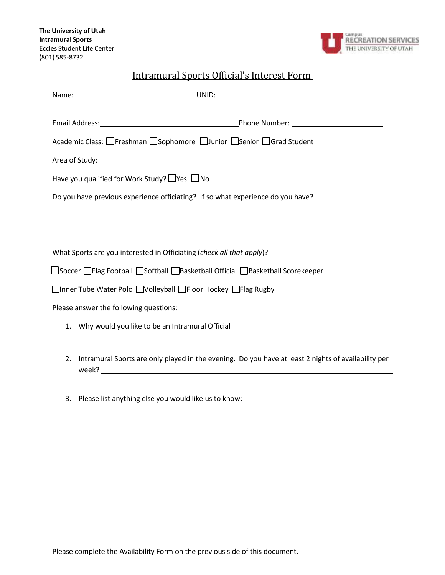

## Intramural Sports Official's Interest Form

| Academic Class: □Freshman □Sophomore □Junior □Senior □Grad Student                |  |  |  |  |
|-----------------------------------------------------------------------------------|--|--|--|--|
|                                                                                   |  |  |  |  |
| Have you qualified for Work Study? $\Box$ Yes $\Box$ No                           |  |  |  |  |
| Do you have previous experience officiating? If so what experience do you have?   |  |  |  |  |
|                                                                                   |  |  |  |  |
|                                                                                   |  |  |  |  |
| What Sports are you interested in Officiating (check all that apply)?             |  |  |  |  |
| □Soccer □ Flag Football □ Softball □ Basketball Official □ Basketball Scorekeeper |  |  |  |  |
| □Inner Tube Water Polo □Volleyball □Floor Hockey □Flag Rugby                      |  |  |  |  |
| Please answer the following questions:                                            |  |  |  |  |
| 1. Why would you like to be an Intramural Official                                |  |  |  |  |
|                                                                                   |  |  |  |  |

- 2. Intramural Sports are only played in the evening. Do you have at least 2 nights of availability per week?
- 3. Please list anything else you would like us to know: